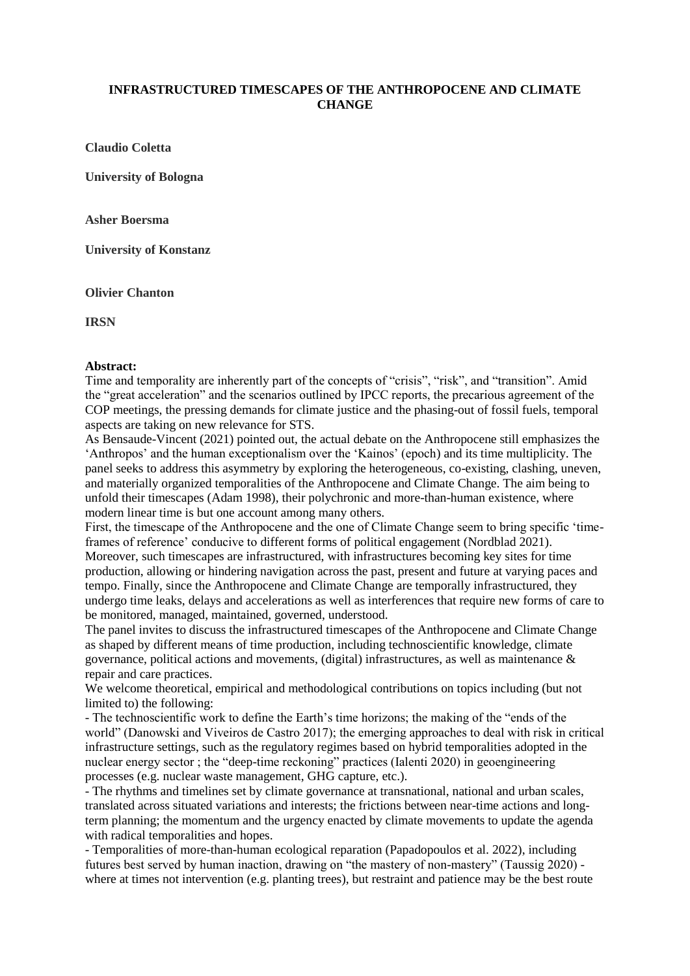## **INFRASTRUCTURED TIMESCAPES OF THE ANTHROPOCENE AND CLIMATE CHANGE**

**Claudio Coletta**

**University of Bologna**

**Asher Boersma**

**University of Konstanz**

**Olivier Chanton**

**IRSN**

## **Abstract:**

Time and temporality are inherently part of the concepts of "crisis", "risk", and "transition". Amid the "great acceleration" and the scenarios outlined by IPCC reports, the precarious agreement of the COP meetings, the pressing demands for climate justice and the phasing-out of fossil fuels, temporal aspects are taking on new relevance for STS.

As Bensaude-Vincent (2021) pointed out, the actual debate on the Anthropocene still emphasizes the 'Anthropos' and the human exceptionalism over the 'Kainos' (epoch) and its time multiplicity. The panel seeks to address this asymmetry by exploring the heterogeneous, co-existing, clashing, uneven, and materially organized temporalities of the Anthropocene and Climate Change. The aim being to unfold their timescapes (Adam 1998), their polychronic and more-than-human existence, where modern linear time is but one account among many others.

First, the timescape of the Anthropocene and the one of Climate Change seem to bring specific 'timeframes of reference' conducive to different forms of political engagement (Nordblad 2021). Moreover, such timescapes are infrastructured, with infrastructures becoming key sites for time production, allowing or hindering navigation across the past, present and future at varying paces and tempo. Finally, since the Anthropocene and Climate Change are temporally infrastructured, they undergo time leaks, delays and accelerations as well as interferences that require new forms of care to be monitored, managed, maintained, governed, understood.

The panel invites to discuss the infrastructured timescapes of the Anthropocene and Climate Change as shaped by different means of time production, including technoscientific knowledge, climate governance, political actions and movements, (digital) infrastructures, as well as maintenance & repair and care practices.

We welcome theoretical, empirical and methodological contributions on topics including (but not limited to) the following:

- The technoscientific work to define the Earth's time horizons; the making of the "ends of the world" (Danowski and Viveiros de Castro 2017); the emerging approaches to deal with risk in critical infrastructure settings, such as the regulatory regimes based on hybrid temporalities adopted in the nuclear energy sector ; the "deep-time reckoning" practices (Ialenti 2020) in geoengineering processes (e.g. nuclear waste management, GHG capture, etc.).

- The rhythms and timelines set by climate governance at transnational, national and urban scales, translated across situated variations and interests; the frictions between near-time actions and longterm planning; the momentum and the urgency enacted by climate movements to update the agenda with radical temporalities and hopes.

- Temporalities of more-than-human ecological reparation (Papadopoulos et al. 2022), including futures best served by human inaction, drawing on "the mastery of non-mastery" (Taussig 2020) where at times not intervention (e.g. planting trees), but restraint and patience may be the best route